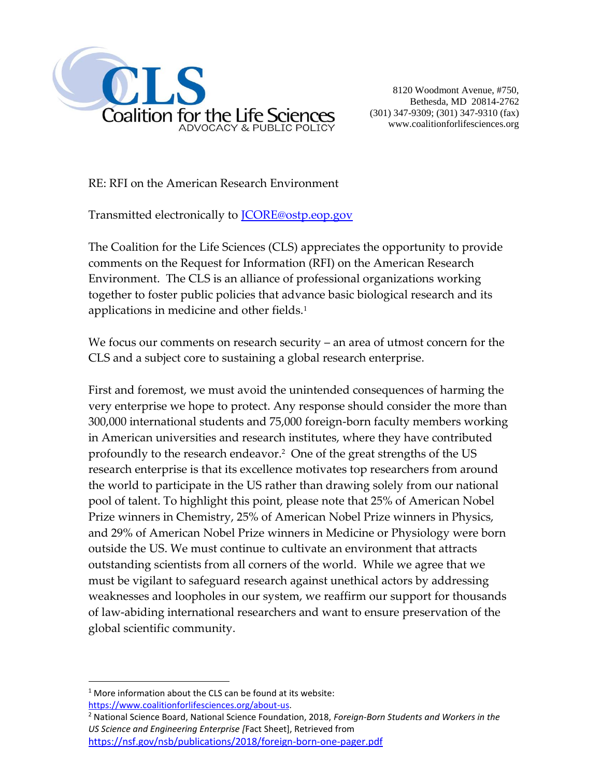

8120 Woodmont Avenue, #750, Bethesda, MD 20814-2762 (301) 347-9309; (301) 347-9310 (fax) www.coalitionforlifesciences.org

RE: RFI on the American Research Environment

Transmitted electronically to **JCORE@ostp.eop.gov** 

The Coalition for the Life Sciences (CLS) appreciates the opportunity to provide comments on the Request for Information (RFI) on the American Research Environment. The CLS is an alliance of professional organizations working together to foster public policies that advance basic biological research and its applications in medicine and other fields.<sup>1</sup>

We focus our comments on research security – an area of utmost concern for the CLS and a subject core to sustaining a global research enterprise.

First and foremost, we must avoid the unintended consequences of harming the very enterprise we hope to protect. Any response should consider the more than 300,000 international students and 75,000 foreign-born faculty members working in American universities and research institutes, where they have contributed profoundly to the research endeavor.<sup>2</sup> One of the great strengths of the US research enterprise is that its excellence motivates top researchers from around the world to participate in the US rather than drawing solely from our national pool of talent. To highlight this point, please note that 25% of American Nobel Prize winners in Chemistry, 25% of American Nobel Prize winners in Physics, and 29% of American Nobel Prize winners in Medicine or Physiology were born outside the US. We must continue to cultivate an environment that attracts outstanding scientists from all corners of the world. While we agree that we must be vigilant to safeguard research against unethical actors by addressing weaknesses and loopholes in our system, we reaffirm our support for thousands of law-abiding international researchers and want to ensure preservation of the global scientific community.

 $\overline{a}$ 

 $1$  More information about the CLS can be found at its website: [https://www.coalitionforlifesciences.org/about-us.](https://www.coalitionforlifesciences.org/about-us)

<sup>2</sup> National Science Board, National Science Foundation, 2018, *Foreign-Born Students and Workers in the US Science and Engineering Enterprise [*Fact Sheet], Retrieved from <https://nsf.gov/nsb/publications/2018/foreign-born-one-pager.pdf>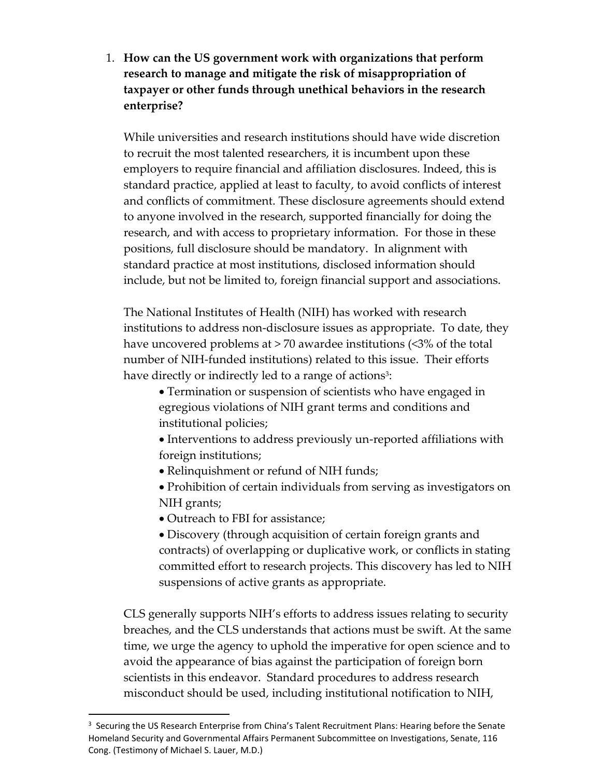1. **How can the US government work with organizations that perform research to manage and mitigate the risk of misappropriation of taxpayer or other funds through unethical behaviors in the research enterprise?** 

While universities and research institutions should have wide discretion to recruit the most talented researchers, it is incumbent upon these employers to require financial and affiliation disclosures. Indeed, this is standard practice, applied at least to faculty, to avoid conflicts of interest and conflicts of commitment. These disclosure agreements should extend to anyone involved in the research, supported financially for doing the research, and with access to proprietary information. For those in these positions, full disclosure should be mandatory. In alignment with standard practice at most institutions, disclosed information should include, but not be limited to, foreign financial support and associations.

The National Institutes of Health (NIH) has worked with research institutions to address non-disclosure issues as appropriate. To date, they have uncovered problems at > 70 awardee institutions (<3% of the total number of NIH-funded institutions) related to this issue. Their efforts have directly or indirectly led to a range of actions<sup>3</sup>:

- Termination or suspension of scientists who have engaged in egregious violations of NIH grant terms and conditions and institutional policies;
- Interventions to address previously un-reported affiliations with foreign institutions;
- Relinquishment or refund of NIH funds;
- Prohibition of certain individuals from serving as investigators on NIH grants;
- Outreach to FBI for assistance;

 $\overline{a}$ 

 Discovery (through acquisition of certain foreign grants and contracts) of overlapping or duplicative work, or conflicts in stating committed effort to research projects. This discovery has led to NIH suspensions of active grants as appropriate.

CLS generally supports NIH's efforts to address issues relating to security breaches, and the CLS understands that actions must be swift. At the same time, we urge the agency to uphold the imperative for open science and to avoid the appearance of bias against the participation of foreign born scientists in this endeavor. Standard procedures to address research misconduct should be used, including institutional notification to NIH,

<sup>&</sup>lt;sup>3</sup> Securing the US Research Enterprise from China's Talent Recruitment Plans: Hearing before the Senate Homeland Security and Governmental Affairs Permanent Subcommittee on Investigations, Senate, 116 Cong. (Testimony of Michael S. Lauer, M.D.)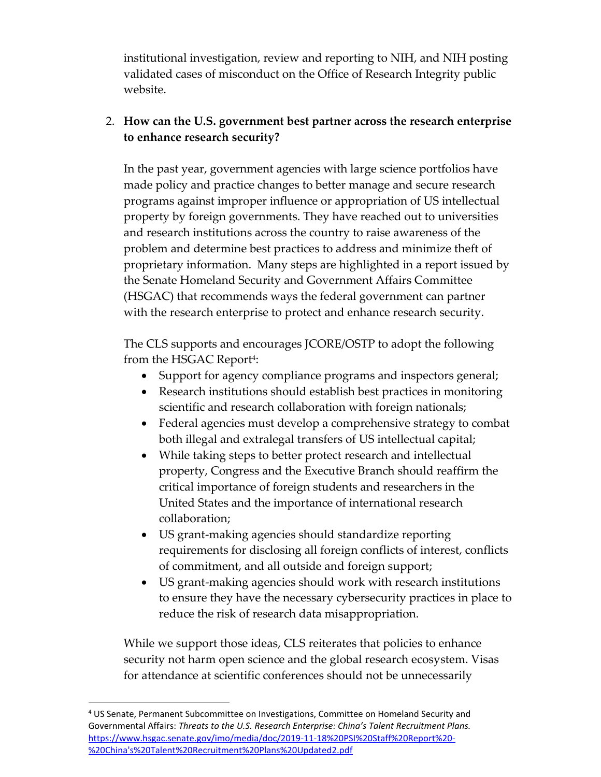institutional investigation, review and reporting to NIH, and NIH posting validated cases of misconduct on the Office of Research Integrity public website.

## 2. **How can the U.S. government best partner across the research enterprise to enhance research security?**

In the past year, government agencies with large science portfolios have made policy and practice changes to better manage and secure research programs against improper influence or appropriation of US intellectual property by foreign governments. They have reached out to universities and research institutions across the country to raise awareness of the problem and determine best practices to address and minimize theft of proprietary information. Many steps are highlighted in a report issued by the Senate Homeland Security and Government Affairs Committee (HSGAC) that recommends ways the federal government can partner with the research enterprise to protect and enhance research security.

The CLS supports and encourages JCORE/OSTP to adopt the following from the HSGAC Report<sup>4</sup>:

- Support for agency compliance programs and inspectors general;
- Research institutions should establish best practices in monitoring scientific and research collaboration with foreign nationals;
- Federal agencies must develop a comprehensive strategy to combat both illegal and extralegal transfers of US intellectual capital;
- While taking steps to better protect research and intellectual property, Congress and the Executive Branch should reaffirm the critical importance of foreign students and researchers in the United States and the importance of international research collaboration;
- US grant-making agencies should standardize reporting requirements for disclosing all foreign conflicts of interest, conflicts of commitment, and all outside and foreign support;
- US grant-making agencies should work with research institutions to ensure they have the necessary cybersecurity practices in place to reduce the risk of research data misappropriation.

While we support those ideas, CLS reiterates that policies to enhance security not harm open science and the global research ecosystem. Visas for attendance at scientific conferences should not be unnecessarily

 $\overline{a}$ 

<sup>4</sup> US Senate, Permanent Subcommittee on Investigations, Committee on Homeland Security and Governmental Affairs: *Threats to the U.S. Research Enterprise: China's Talent Recruitment Plans.*  [https://www.hsgac.senate.gov/imo/media/doc/2019-11-18%20PSI%20Staff%20Report%20-](https://www.hsgac.senate.gov/imo/media/doc/2019-11-18%20PSI%20Staff%20Report%20-%20China) [%20China's%20Talent%20Recruitment%20Plans%20Updated2.pdf](https://www.hsgac.senate.gov/imo/media/doc/2019-11-18%20PSI%20Staff%20Report%20-%20China)